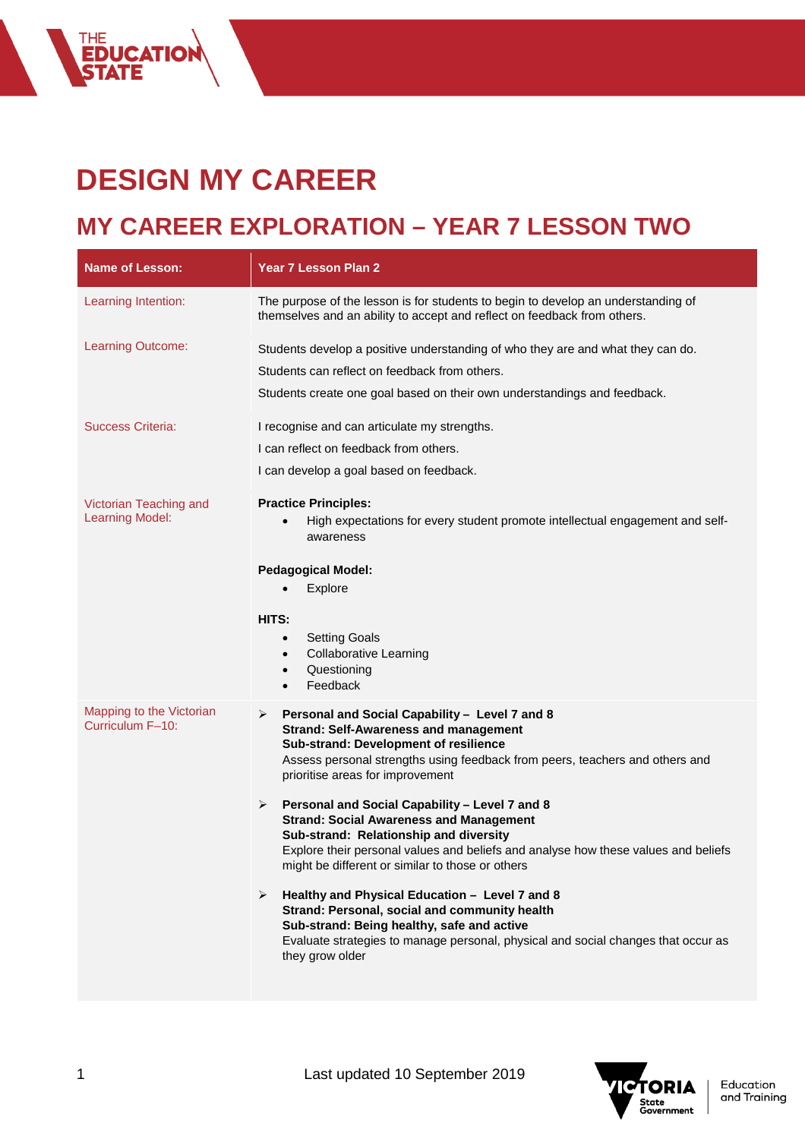## **DESIGN MY CAREER**

THE<br>**EDUCATION**<br>STATE

## **MY CAREER EXPLORATION – YEAR 7 LESSON TWO**

| Name of Lesson:                                  | Year 7 Lesson Plan 2                                                                                                                                                                                                                                                                                                                                                                                                                                                                                                                                                                                                                                                                                                                                                                                                        |
|--------------------------------------------------|-----------------------------------------------------------------------------------------------------------------------------------------------------------------------------------------------------------------------------------------------------------------------------------------------------------------------------------------------------------------------------------------------------------------------------------------------------------------------------------------------------------------------------------------------------------------------------------------------------------------------------------------------------------------------------------------------------------------------------------------------------------------------------------------------------------------------------|
| Learning Intention:                              | The purpose of the lesson is for students to begin to develop an understanding of<br>themselves and an ability to accept and reflect on feedback from others.                                                                                                                                                                                                                                                                                                                                                                                                                                                                                                                                                                                                                                                               |
| Learning Outcome:                                | Students develop a positive understanding of who they are and what they can do.<br>Students can reflect on feedback from others.<br>Students create one goal based on their own understandings and feedback.                                                                                                                                                                                                                                                                                                                                                                                                                                                                                                                                                                                                                |
| <b>Success Criteria:</b>                         | I recognise and can articulate my strengths.<br>I can reflect on feedback from others.<br>I can develop a goal based on feedback.                                                                                                                                                                                                                                                                                                                                                                                                                                                                                                                                                                                                                                                                                           |
| Victorian Teaching and<br><b>Learning Model:</b> | <b>Practice Principles:</b><br>High expectations for every student promote intellectual engagement and self-<br>$\bullet$<br>awareness<br><b>Pedagogical Model:</b><br>Explore<br>HITS:<br><b>Setting Goals</b><br>$\bullet$<br><b>Collaborative Learning</b><br>$\bullet$<br>Questioning<br>$\bullet$<br>Feedback<br>$\bullet$                                                                                                                                                                                                                                                                                                                                                                                                                                                                                             |
| Mapping to the Victorian<br>Curriculum F-10:     | Personal and Social Capability - Level 7 and 8<br>➤<br><b>Strand: Self-Awareness and management</b><br>Sub-strand: Development of resilience<br>Assess personal strengths using feedback from peers, teachers and others and<br>prioritise areas for improvement<br>Personal and Social Capability - Level 7 and 8<br>➤<br><b>Strand: Social Awareness and Management</b><br>Sub-strand: Relationship and diversity<br>Explore their personal values and beliefs and analyse how these values and beliefs<br>might be different or similar to those or others<br>Healthy and Physical Education - Level 7 and 8<br>➤<br>Strand: Personal, social and community health<br>Sub-strand: Being healthy, safe and active<br>Evaluate strategies to manage personal, physical and social changes that occur as<br>they grow older |

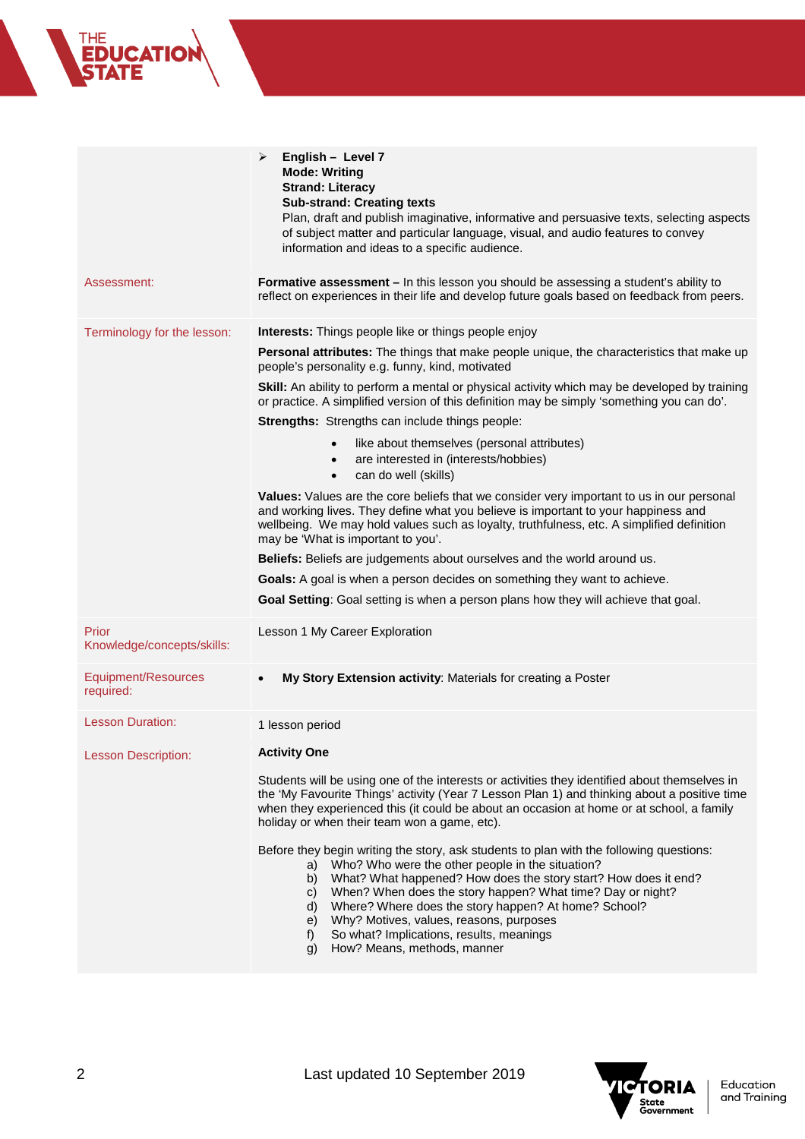|                                     | ≻<br>English - Level 7<br><b>Mode: Writing</b><br><b>Strand: Literacy</b><br><b>Sub-strand: Creating texts</b><br>Plan, draft and publish imaginative, informative and persuasive texts, selecting aspects<br>of subject matter and particular language, visual, and audio features to convey<br>information and ideas to a specific audience.                                                                                                                                                       |
|-------------------------------------|------------------------------------------------------------------------------------------------------------------------------------------------------------------------------------------------------------------------------------------------------------------------------------------------------------------------------------------------------------------------------------------------------------------------------------------------------------------------------------------------------|
| Assessment:                         | Formative assessment - In this lesson you should be assessing a student's ability to<br>reflect on experiences in their life and develop future goals based on feedback from peers.                                                                                                                                                                                                                                                                                                                  |
| Terminology for the lesson:         | Interests: Things people like or things people enjoy                                                                                                                                                                                                                                                                                                                                                                                                                                                 |
|                                     | Personal attributes: The things that make people unique, the characteristics that make up<br>people's personality e.g. funny, kind, motivated                                                                                                                                                                                                                                                                                                                                                        |
|                                     | Skill: An ability to perform a mental or physical activity which may be developed by training<br>or practice. A simplified version of this definition may be simply 'something you can do'.                                                                                                                                                                                                                                                                                                          |
|                                     | Strengths: Strengths can include things people:                                                                                                                                                                                                                                                                                                                                                                                                                                                      |
|                                     | like about themselves (personal attributes)<br>$\bullet$<br>are interested in (interests/hobbies)<br>$\bullet$<br>can do well (skills)<br>$\bullet$                                                                                                                                                                                                                                                                                                                                                  |
|                                     | Values: Values are the core beliefs that we consider very important to us in our personal<br>and working lives. They define what you believe is important to your happiness and<br>wellbeing. We may hold values such as loyalty, truthfulness, etc. A simplified definition<br>may be 'What is important to you'.                                                                                                                                                                                   |
|                                     | Beliefs: Beliefs are judgements about ourselves and the world around us.                                                                                                                                                                                                                                                                                                                                                                                                                             |
|                                     | Goals: A goal is when a person decides on something they want to achieve.                                                                                                                                                                                                                                                                                                                                                                                                                            |
|                                     | Goal Setting: Goal setting is when a person plans how they will achieve that goal.                                                                                                                                                                                                                                                                                                                                                                                                                   |
| Prior<br>Knowledge/concepts/skills: | Lesson 1 My Career Exploration                                                                                                                                                                                                                                                                                                                                                                                                                                                                       |
| Equipment/Resources<br>required:    | My Story Extension activity: Materials for creating a Poster<br>$\bullet$                                                                                                                                                                                                                                                                                                                                                                                                                            |
| <b>Lesson Duration:</b>             | 1 lesson period                                                                                                                                                                                                                                                                                                                                                                                                                                                                                      |
| <b>Lesson Description:</b>          | <b>Activity One</b>                                                                                                                                                                                                                                                                                                                                                                                                                                                                                  |
|                                     | Students will be using one of the interests or activities they identified about themselves in<br>the 'My Favourite Things' activity (Year 7 Lesson Plan 1) and thinking about a positive time<br>when they experienced this (it could be about an occasion at home or at school, a family<br>holiday or when their team won a game, etc).                                                                                                                                                            |
|                                     | Before they begin writing the story, ask students to plan with the following questions:<br>Who? Who were the other people in the situation?<br>a)<br>What? What happened? How does the story start? How does it end?<br>b)<br>When? When does the story happen? What time? Day or night?<br>C)<br>Where? Where does the story happen? At home? School?<br>d)<br>Why? Motives, values, reasons, purposes<br>e)<br>So what? Implications, results, meanings<br>f)<br>How? Means, methods, manner<br>q) |



THE<br>**EDUCATION**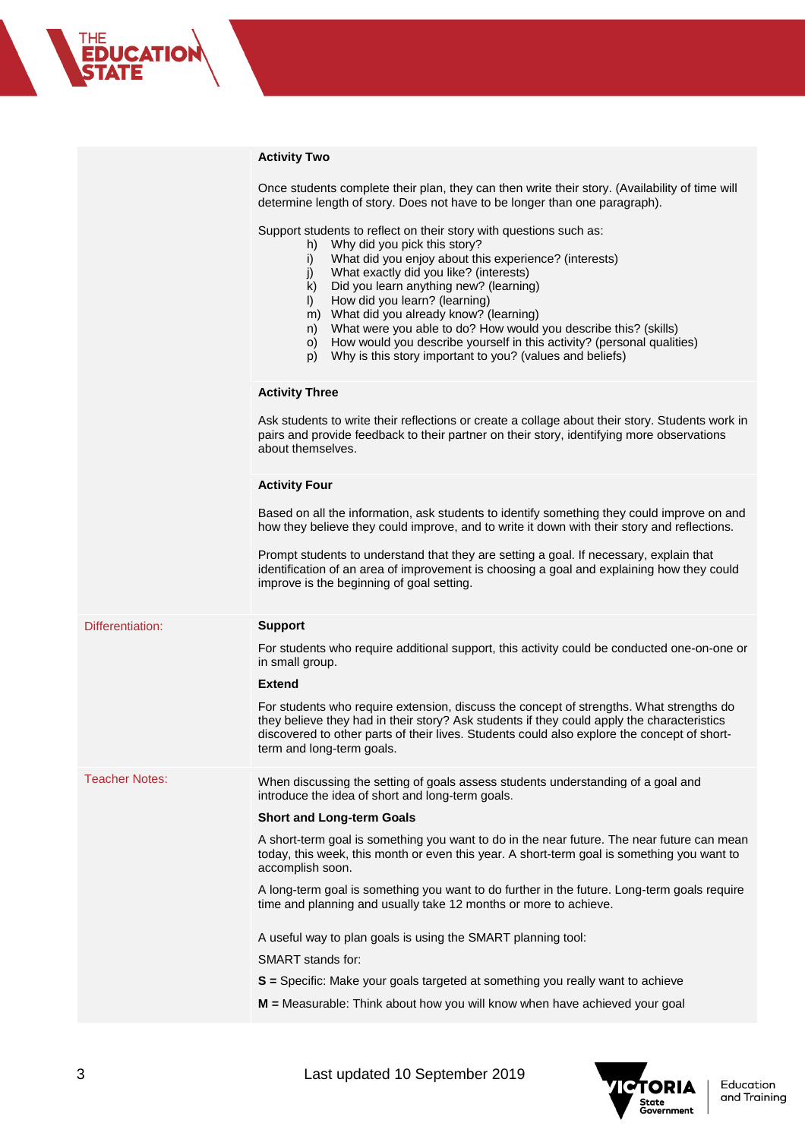## **Activity Two**

THE<br>**EDUCATION**<br>S**TATE** 

|                       | AGUVILY I WO                                                                                                                                                                                                                                                                                                                                                                                                                                                                                                                                                                                 |
|-----------------------|----------------------------------------------------------------------------------------------------------------------------------------------------------------------------------------------------------------------------------------------------------------------------------------------------------------------------------------------------------------------------------------------------------------------------------------------------------------------------------------------------------------------------------------------------------------------------------------------|
|                       | Once students complete their plan, they can then write their story. (Availability of time will<br>determine length of story. Does not have to be longer than one paragraph).                                                                                                                                                                                                                                                                                                                                                                                                                 |
|                       | Support students to reflect on their story with questions such as:<br>Why did you pick this story?<br>h)<br>What did you enjoy about this experience? (interests)<br>i)<br>What exactly did you like? (interests)<br>j)<br>k)<br>Did you learn anything new? (learning)<br>How did you learn? (learning)<br>$\vert$ )<br>m) What did you already know? (learning)<br>What were you able to do? How would you describe this? (skills)<br>n)<br>How would you describe yourself in this activity? (personal qualities)<br>O)<br>Why is this story important to you? (values and beliefs)<br>p) |
|                       | <b>Activity Three</b>                                                                                                                                                                                                                                                                                                                                                                                                                                                                                                                                                                        |
|                       | Ask students to write their reflections or create a collage about their story. Students work in<br>pairs and provide feedback to their partner on their story, identifying more observations<br>about themselves.                                                                                                                                                                                                                                                                                                                                                                            |
|                       | <b>Activity Four</b>                                                                                                                                                                                                                                                                                                                                                                                                                                                                                                                                                                         |
|                       | Based on all the information, ask students to identify something they could improve on and<br>how they believe they could improve, and to write it down with their story and reflections.                                                                                                                                                                                                                                                                                                                                                                                                    |
|                       | Prompt students to understand that they are setting a goal. If necessary, explain that<br>identification of an area of improvement is choosing a goal and explaining how they could<br>improve is the beginning of goal setting.                                                                                                                                                                                                                                                                                                                                                             |
| Differentiation:      | <b>Support</b>                                                                                                                                                                                                                                                                                                                                                                                                                                                                                                                                                                               |
|                       | For students who require additional support, this activity could be conducted one-on-one or<br>in small group.                                                                                                                                                                                                                                                                                                                                                                                                                                                                               |
|                       | <b>Extend</b>                                                                                                                                                                                                                                                                                                                                                                                                                                                                                                                                                                                |
|                       | For students who require extension, discuss the concept of strengths. What strengths do<br>they believe they had in their story? Ask students if they could apply the characteristics<br>discovered to other parts of their lives. Students could also explore the concept of short-<br>term and long-term goals.                                                                                                                                                                                                                                                                            |
| <b>Teacher Notes:</b> | When discussing the setting of goals assess students understanding of a goal and<br>introduce the idea of short and long-term goals.                                                                                                                                                                                                                                                                                                                                                                                                                                                         |
|                       | <b>Short and Long-term Goals</b>                                                                                                                                                                                                                                                                                                                                                                                                                                                                                                                                                             |
|                       | A short-term goal is something you want to do in the near future. The near future can mean<br>today, this week, this month or even this year. A short-term goal is something you want to<br>accomplish soon.                                                                                                                                                                                                                                                                                                                                                                                 |
|                       | A long-term goal is something you want to do further in the future. Long-term goals require<br>time and planning and usually take 12 months or more to achieve.                                                                                                                                                                                                                                                                                                                                                                                                                              |
|                       | A useful way to plan goals is using the SMART planning tool:                                                                                                                                                                                                                                                                                                                                                                                                                                                                                                                                 |
|                       | SMART stands for:                                                                                                                                                                                                                                                                                                                                                                                                                                                                                                                                                                            |
|                       | S = Specific: Make your goals targeted at something you really want to achieve                                                                                                                                                                                                                                                                                                                                                                                                                                                                                                               |
|                       | M = Measurable: Think about how you will know when have achieved your goal                                                                                                                                                                                                                                                                                                                                                                                                                                                                                                                   |

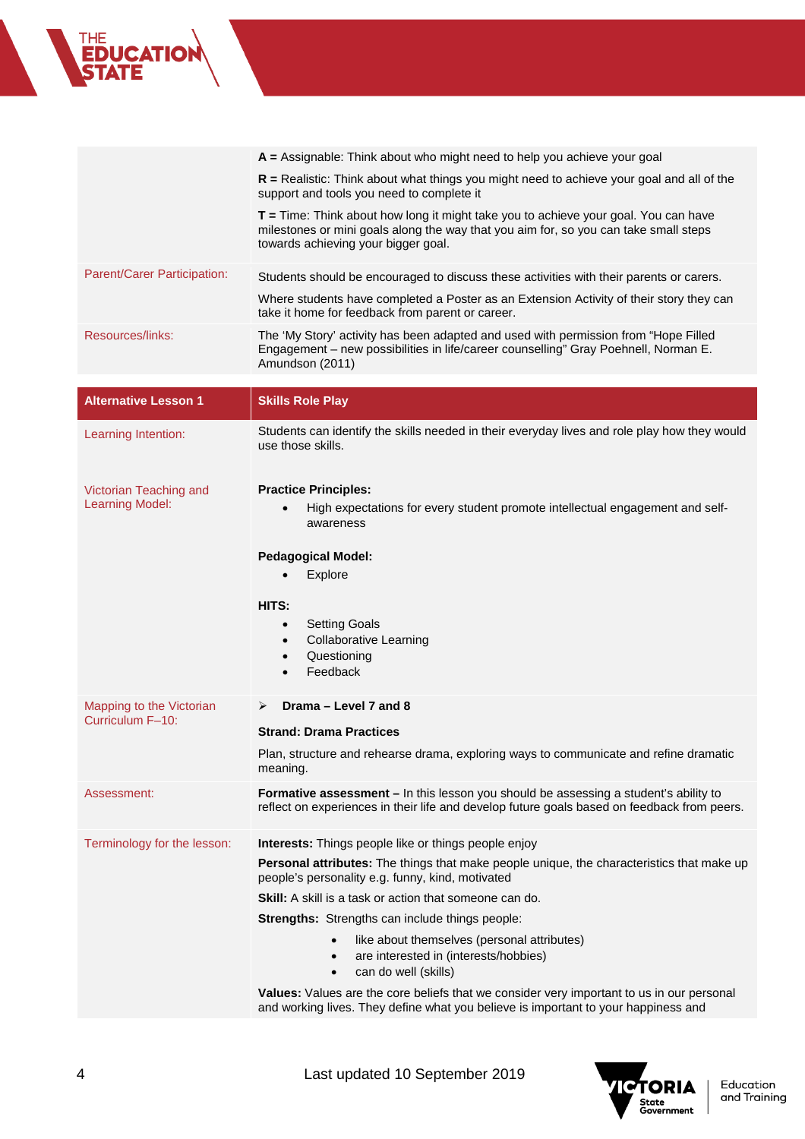## **A =** Assignable: Think about who might need to help you achieve your goal **R =** Realistic: Think about what things you might need to achieve your goal and all of the support and tools you need to complete it **T =** Time: Think about how long it might take you to achieve your goal. You can have milestones or mini goals along the way that you aim for, so you can take small steps towards achieving your bigger goal. Parent/Carer Participation: Students should be encouraged to discuss these activities with their parents or carers. Where students have completed a Poster as an Extension Activity of their story they can take it home for feedback from parent or career. Resources/links: The 'My Story' activity has been adapted and used with permission from "Hope Filled Engagement – new possibilities in life/career counselling" Gray Poehnell, Norman E.

Amundson (2011)

**CATIO** 

| <b>Alternative Lesson 1</b>                      | <b>Skills Role Play</b>                                                                                                                                                                                                                                                                                                                                                                                                                                                                                                                                                                                                                                              |
|--------------------------------------------------|----------------------------------------------------------------------------------------------------------------------------------------------------------------------------------------------------------------------------------------------------------------------------------------------------------------------------------------------------------------------------------------------------------------------------------------------------------------------------------------------------------------------------------------------------------------------------------------------------------------------------------------------------------------------|
| Learning Intention:                              | Students can identify the skills needed in their everyday lives and role play how they would<br>use those skills.                                                                                                                                                                                                                                                                                                                                                                                                                                                                                                                                                    |
| Victorian Teaching and<br><b>Learning Model:</b> | <b>Practice Principles:</b><br>High expectations for every student promote intellectual engagement and self-<br>awareness<br><b>Pedagogical Model:</b><br>Explore<br>HITS:<br><b>Setting Goals</b><br>$\bullet$<br><b>Collaborative Learning</b><br>$\bullet$<br>Questioning<br>$\bullet$<br>Feedback<br>$\bullet$                                                                                                                                                                                                                                                                                                                                                   |
| Mapping to the Victorian<br>Curriculum F-10:     | Drama - Level 7 and 8<br>➤<br><b>Strand: Drama Practices</b><br>Plan, structure and rehearse drama, exploring ways to communicate and refine dramatic<br>meaning.                                                                                                                                                                                                                                                                                                                                                                                                                                                                                                    |
| Assessment:                                      | Formative assessment - In this lesson you should be assessing a student's ability to<br>reflect on experiences in their life and develop future goals based on feedback from peers.                                                                                                                                                                                                                                                                                                                                                                                                                                                                                  |
| Terminology for the lesson:                      | Interests: Things people like or things people enjoy<br>Personal attributes: The things that make people unique, the characteristics that make up<br>people's personality e.g. funny, kind, motivated<br><b>Skill:</b> A skill is a task or action that someone can do.<br>Strengths: Strengths can include things people:<br>like about themselves (personal attributes)<br>$\bullet$<br>are interested in (interests/hobbies)<br>$\bullet$<br>can do well (skills)<br>$\bullet$<br>Values: Values are the core beliefs that we consider very important to us in our personal<br>and working lives. They define what you believe is important to your happiness and |